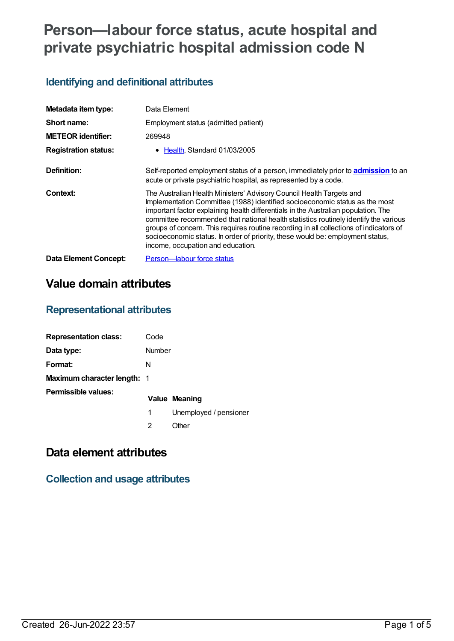# **Person—labour force status, acute hospital and private psychiatric hospital admission code N**

## **Identifying and definitional attributes**

| Metadata item type:          | Data Element                                                                                                                                                                                                                                                                                                                                                                                                                                                                                                                                       |
|------------------------------|----------------------------------------------------------------------------------------------------------------------------------------------------------------------------------------------------------------------------------------------------------------------------------------------------------------------------------------------------------------------------------------------------------------------------------------------------------------------------------------------------------------------------------------------------|
| Short name:                  | Employment status (admitted patient)                                                                                                                                                                                                                                                                                                                                                                                                                                                                                                               |
| <b>METEOR identifier:</b>    | 269948                                                                                                                                                                                                                                                                                                                                                                                                                                                                                                                                             |
| <b>Registration status:</b>  | • Health Standard 01/03/2005                                                                                                                                                                                                                                                                                                                                                                                                                                                                                                                       |
| Definition:                  | Self-reported employment status of a person, immediately prior to <b>admission</b> to an<br>acute or private psychiatric hospital, as represented by a code.                                                                                                                                                                                                                                                                                                                                                                                       |
| <b>Context:</b>              | The Australian Health Ministers' Advisory Council Health Targets and<br>Implementation Committee (1988) identified socioeconomic status as the most<br>important factor explaining health differentials in the Australian population. The<br>committee recommended that national health statistics routinely identify the various<br>groups of concern. This requires routine recording in all collections of indicators of<br>socioeconomic status. In order of priority, these would be: employment status,<br>income, occupation and education. |
| <b>Data Element Concept:</b> | Person-labour force status                                                                                                                                                                                                                                                                                                                                                                                                                                                                                                                         |

# **Value domain attributes**

### **Representational attributes**

| <b>Representation class:</b> | Code   |                        |  |
|------------------------------|--------|------------------------|--|
| Data type:                   | Number |                        |  |
| Format:                      | N      |                        |  |
| Maximum character length: 1  |        |                        |  |
| Permissible values:          |        | Value Meaning          |  |
|                              | 1      | Unemployed / pensioner |  |
|                              | 2      | .)ther                 |  |

## **Data element attributes**

#### **Collection and usage attributes**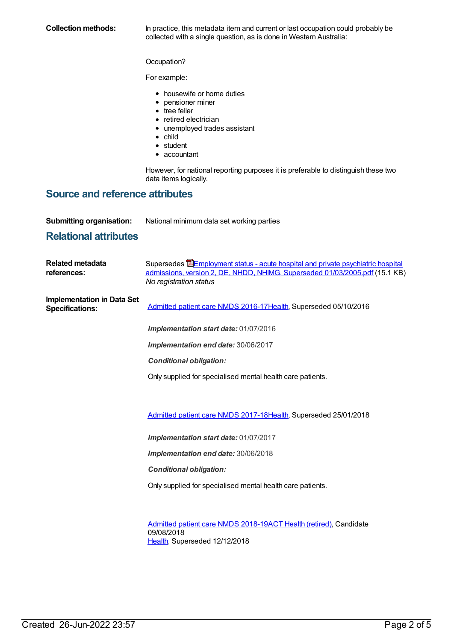**Collection methods:** In practice, this metadata item and current or last occupation could probably be collected with a single question, as is done in Western Australia:

Occupation?

For example:

- housewife or home duties
- pensioner miner
- tree feller
- retired electrician
- unemployed trades assistant
- child
- student
- accountant

However, for national reporting purposes it is preferable to distinguish these two data items logically.

#### **Source and reference attributes**

**Submitting organisation:** National minimum data set working parties

#### **Relational attributes**

| Related metadata<br>references:                             | Supersedes <b>E</b> Employment status - acute hospital and private psychiatric hospital<br>admissions, version 2, DE, NHDD, NHIMG, Superseded 01/03/2005.pdf (15.1 KB)<br>No registration status |  |
|-------------------------------------------------------------|--------------------------------------------------------------------------------------------------------------------------------------------------------------------------------------------------|--|
| <b>Implementation in Data Set</b><br><b>Specifications:</b> | Admitted patient care NMDS 2016-17 Health, Superseded 05/10/2016                                                                                                                                 |  |
|                                                             | Implementation start date: 01/07/2016                                                                                                                                                            |  |
|                                                             | Implementation end date: 30/06/2017                                                                                                                                                              |  |
|                                                             | <b>Conditional obligation:</b>                                                                                                                                                                   |  |
|                                                             | Only supplied for specialised mental health care patients.                                                                                                                                       |  |
|                                                             |                                                                                                                                                                                                  |  |
|                                                             | Admitted patient care NMDS 2017-18Health, Superseded 25/01/2018                                                                                                                                  |  |
|                                                             | Implementation start date: 01/07/2017                                                                                                                                                            |  |
|                                                             | Implementation end date: 30/06/2018                                                                                                                                                              |  |
|                                                             | <b>Conditional obligation:</b>                                                                                                                                                                   |  |
|                                                             | Only supplied for specialised mental health care patients.                                                                                                                                       |  |

[Admitted](https://meteor.aihw.gov.au/content/676382) patient care NMDS 2018-19ACT Health [\(retired\)](https://meteor.aihw.gov.au/RegistrationAuthority/9), Candidate 09/08/2018 [Health](https://meteor.aihw.gov.au/RegistrationAuthority/12), Superseded 12/12/2018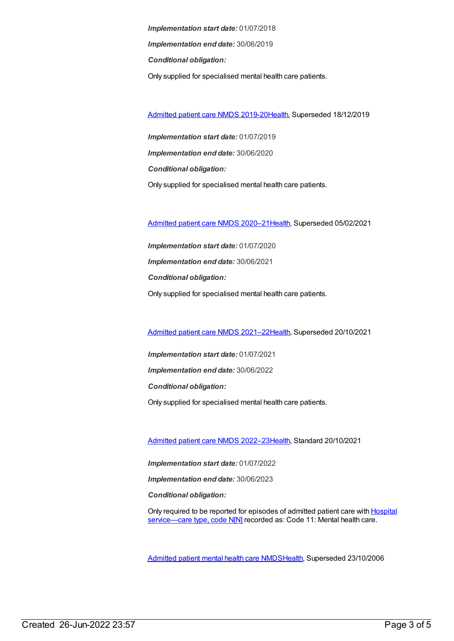*Implementation start date:* 01/07/2018 *Implementation end date:* 30/06/2019 *Conditional obligation:* Only supplied for specialised mental health care patients.

[Admitted](https://meteor.aihw.gov.au/content/699728) patient care NMDS 2019-20[Health](https://meteor.aihw.gov.au/RegistrationAuthority/12), Superseded 18/12/2019

*Implementation start date:* 01/07/2019 *Implementation end date:* 30/06/2020 *Conditional obligation:* Only supplied for specialised mental health care patients.

[Admitted](https://meteor.aihw.gov.au/content/713850) patient care NMDS 2020–2[1Health](https://meteor.aihw.gov.au/RegistrationAuthority/12), Superseded 05/02/2021

*Implementation start date:* 01/07/2020 *Implementation end date:* 30/06/2021 *Conditional obligation:* Only supplied for specialised mental health care patients.

[Admitted](https://meteor.aihw.gov.au/content/728439) patient care NMDS 2021–2[2Health](https://meteor.aihw.gov.au/RegistrationAuthority/12), Superseded 20/10/2021

*Implementation start date:* 01/07/2021 *Implementation end date:* 30/06/2022 *Conditional obligation:* Only supplied for specialised mental health care patients.

[Admitted](https://meteor.aihw.gov.au/content/742173) patient care NMDS 2022–2[3Health](https://meteor.aihw.gov.au/RegistrationAuthority/12), Standard 20/10/2021

*Implementation start date:* 01/07/2022

*Implementation end date:* 30/06/2023

*Conditional obligation:*

Only required to be reported for episodes of admitted patient care with **Hospital** [service—care](file:///content/711010) type, code N[N] recorded as: Code 11: Mental health care.

[Admitted](https://meteor.aihw.gov.au/content/334031) patient mental health care NMD[SHealth](https://meteor.aihw.gov.au/RegistrationAuthority/12), Superseded 23/10/2006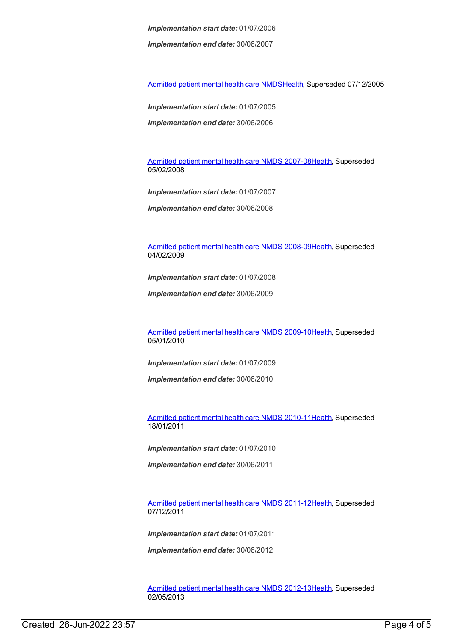*Implementation start date:* 01/07/2006

*Implementation end date:* 30/06/2007

[Admitted](https://meteor.aihw.gov.au/content/273048) patient mental health care NMD[SHealth](https://meteor.aihw.gov.au/RegistrationAuthority/12), Superseded 07/12/2005

*Implementation start date:* 01/07/2005

*Implementation end date:* 30/06/2006

[Admitted](https://meteor.aihw.gov.au/content/345110) patient mental health care NMDS 2007-08[Health](https://meteor.aihw.gov.au/RegistrationAuthority/12), Superseded 05/02/2008

*Implementation start date:* 01/07/2007

*Implementation end date:* 30/06/2008

[Admitted](https://meteor.aihw.gov.au/content/362305) patient mental health care NMDS 2008-09[Health](https://meteor.aihw.gov.au/RegistrationAuthority/12), Superseded 04/02/2009

*Implementation start date:* 01/07/2008

*Implementation end date:* 30/06/2009

[Admitted](https://meteor.aihw.gov.au/content/374207) patient mental health care NMDS 2009-10[Health](https://meteor.aihw.gov.au/RegistrationAuthority/12), Superseded 05/01/2010

*Implementation start date:* 01/07/2009

*Implementation end date:* 30/06/2010

[Admitted](https://meteor.aihw.gov.au/content/386799) patient mental health care NMDS 2010-11[Health](https://meteor.aihw.gov.au/RegistrationAuthority/12), Superseded 18/01/2011

*Implementation start date:* 01/07/2010

*Implementation end date:* 30/06/2011

[Admitted](https://meteor.aihw.gov.au/content/426872) patient mental health care NMDS 2011-12[Health](https://meteor.aihw.gov.au/RegistrationAuthority/12), Superseded 07/12/2011

*Implementation start date:* 01/07/2011

*Implementation end date:* 30/06/2012

[Admitted](https://meteor.aihw.gov.au/content/471383) patient mental health care NMDS 2012-13[Health](https://meteor.aihw.gov.au/RegistrationAuthority/12), Superseded 02/05/2013